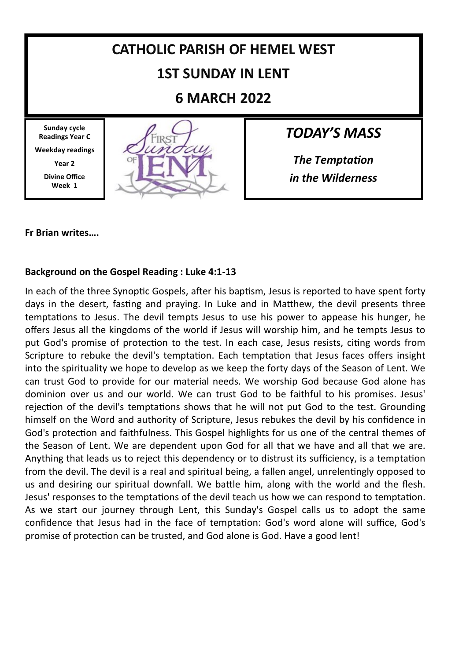

#### **Fr Brian writes….**

#### **Background on the Gospel Reading : Luke 4:1-13**

In each of the three Synoptic Gospels, after his baptism, Jesus is reported to have spent forty days in the desert, fasting and praying. In Luke and in Matthew, the devil presents three temptations to Jesus. The devil tempts Jesus to use his power to appease his hunger, he offers Jesus all the kingdoms of the world if Jesus will worship him, and he tempts Jesus to put God's promise of protection to the test. In each case, Jesus resists, citing words from Scripture to rebuke the devil's temptation. Each temptation that Jesus faces offers insight into the spirituality we hope to develop as we keep the forty days of the Season of Lent. We can trust God to provide for our material needs. We worship God because God alone has dominion over us and our world. We can trust God to be faithful to his promises. Jesus' rejection of the devil's temptations shows that he will not put God to the test. Grounding himself on the Word and authority of Scripture, Jesus rebukes the devil by his confidence in God's protection and faithfulness. This Gospel highlights for us one of the central themes of the Season of Lent. We are dependent upon God for all that we have and all that we are. Anything that leads us to reject this dependency or to distrust its sufficiency, is a temptation from the devil. The devil is a real and spiritual being, a fallen angel, unrelentingly opposed to us and desiring our spiritual downfall. We battle him, along with the world and the flesh. Jesus' responses to the temptations of the devil teach us how we can respond to temptation. As we start our journey through Lent, this Sunday's Gospel calls us to adopt the same confidence that Jesus had in the face of temptation: God's word alone will suffice, God's promise of protection can be trusted, and God alone is God. Have a good lent!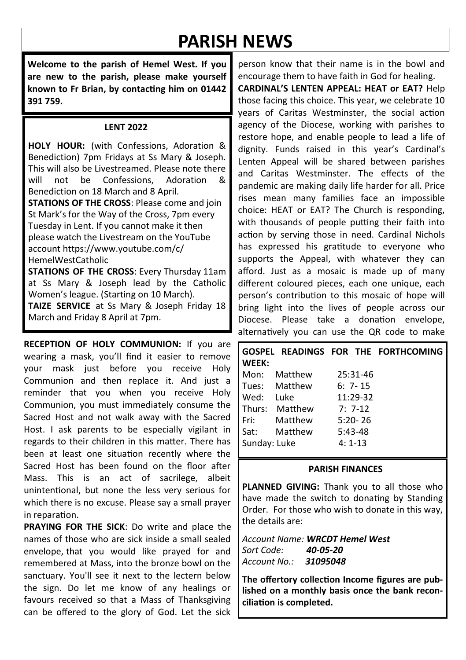# **PARISH NEWS**

**Welcome to the parish of Hemel West. If you are new to the parish, please make yourself known to Fr Brian, by contacting him on 01442 391 759.**

#### **LENT 2022**

**HOLY HOUR:** (with Confessions, Adoration & Benediction) 7pm Fridays at Ss Mary & Joseph. This will also be Livestreamed. Please note there<br>will not be Confessions Adoration & will not be Confessions, Adoration & Benediction on 18 March and 8 April. **STATIONS OF THE CROSS**: Please come and join St Mark's for the Way of the Cross, 7pm every Tuesday in Lent. If you cannot make it then please watch the Livestream on the YouTube account https://www.youtube.com/c/ HemelWestCatholic

**STATIONS OF THE CROSS**: Every Thursday 11am at Ss Mary & Joseph lead by the Catholic Women's league. (Starting on 10 March). **TAIZE SERVICE** at Ss Mary & Joseph Friday 18 March and Friday 8 April at 7pm.

**RECEPTION OF HOLY COMMUNION:** If you are wearing a mask, you'll find it easier to remove your mask just before you receive Holy Communion and then replace it. And just a reminder that you when you receive Holy Communion, you must immediately consume the Sacred Host and not walk away with the Sacred Host. I ask parents to be especially vigilant in regards to their children in this matter. There has been at least one situation recently where the Sacred Host has been found on the floor after Mass. This is an act of sacrilege, albeit unintentional, but none the less very serious for which there is no excuse. Please say a small prayer in reparation.

**PRAYING FOR THE SICK**: Do write and place the names of those who are sick inside a small sealed envelope, that you would like prayed for and remembered at Mass, into the bronze bowl on the sanctuary. You'll see it next to the lectern below the sign. Do let me know of any healings or favours received so that a Mass of Thanksgiving can be offered to the glory of God. Let the sick

person know that their name is in the bowl and encourage them to have faith in God for healing.

**CARDINAL'S LENTEN APPEAL: HEAT or EAT?** Help those facing this choice. This year, we celebrate 10 years of Caritas Westminster, the social action agency of the Diocese, working with parishes to restore hope, and enable people to lead a life of dignity. Funds raised in this year's Cardinal's Lenten Appeal will be shared between parishes and Caritas Westminster. The effects of the pandemic are making daily life harder for all. Price rises mean many families face an impossible choice: HEAT or EAT? The Church is responding, with thousands of people putting their faith into action by serving those in need. Cardinal Nichols has expressed his gratitude to everyone who supports the Appeal, with whatever they can afford. Just as a mosaic is made up of many different coloured pieces, each one unique, each person's contribution to this mosaic of hope will bring light into the lives of people across our Diocese. Please take a donation envelope, alternatively you can use the QR code to make

#### **GOSPEL READINGS FOR THE FORTHCOMING WEEK:**

| Mon:         | Matthew | 25:31-46    |
|--------------|---------|-------------|
| Tues:        | Matthew | $6: 7 - 15$ |
| Wed:         | Luke    | 11:29-32    |
| Thurs:       | Matthew | $7:7-12$    |
| Fri:         | Matthew | $5:20 - 26$ |
| Sat:         | Matthew | $5:43-48$   |
| Sunday: Luke |         | $4:1-13$    |
|              |         |             |

#### **PARISH FINANCES**

**PLANNED GIVING:** Thank you to all those who have made the switch to donating by Standing Order. For those who wish to donate in this way, the details are:

*Account Name: WRCDT Hemel West Sort Code: 40-05-20 Account No.: 31095048*

**The offertory collection Income figures are published on a monthly basis once the bank reconciliation is completed.**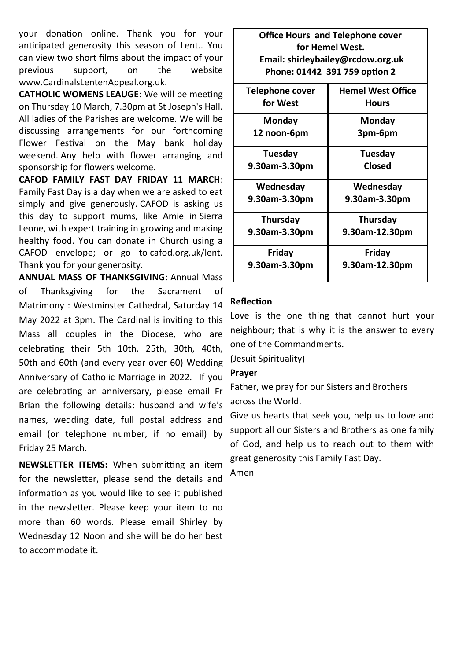your donation online. Thank you for your anticipated generosity this season of Lent.. You can view two short films about the impact of your previous support, on the website www.CardinalsLentenAppeal.org.uk.

**CATHOLIC WOMENS LEAUGE**: We will be meeting on Thursday 10 March, 7.30pm at St Joseph's Hall. All ladies of the Parishes are welcome. We will be discussing arrangements for our forthcoming Flower Festival on the May bank holiday weekend. Any help with flower arranging and sponsorship for flowers welcome.

**CAFOD FAMILY FAST DAY FRIDAY 11 MARCH**: Family Fast Day is a day when we are asked to eat simply and give generously. CAFOD is asking us this day to support mums, like Amie in Sierra Leone, with expert training in growing and making healthy food. You can donate in Church using a CAFOD envelope; or go to cafod.org.uk/lent. Thank you for your generosity.

**ANNUAL MASS OF THANKSGIVING**: Annual Mass of Thanksgiving for the Sacrament of Matrimony : Westminster Cathedral, Saturday 14 May 2022 at 3pm. The Cardinal is inviting to this Mass all couples in the Diocese, who are celebrating their 5th 10th, 25th, 30th, 40th, 50th and 60th (and every year over 60) Wedding Anniversary of Catholic Marriage in 2022. If you are celebrating an anniversary, please email Fr Brian the following details: husband and wife's names, wedding date, full postal address and email (or telephone number, if no email) by Friday 25 March.

**NEWSLETTER ITEMS:** When submitting an item for the newsletter, please send the details and information as you would like to see it published in the newsletter. Please keep your item to no more than 60 words. Please email Shirley by Wednesday 12 Noon and she will be do her best to accommodate it.

**Office Hours and Telephone cover for Hemel West. Email: shirleybailey@rcdow.org.uk Phone: 01442 391 759 option 2**

| <b>Telephone cover</b> | <b>Hemel West Office</b> |
|------------------------|--------------------------|
| for West               | Hours                    |
| Monday                 | Monday                   |
| 12 noon-6pm            | 3pm-6pm                  |
| Tuesdav                | Tuesday                  |
| 9.30am-3.30pm          | Closed                   |
| Wednesday              | Wednesday                |
| 9.30am-3.30pm          | 9.30am-3.30pm            |
| Thursday               | Thursday                 |
| 9.30am-3.30pm          | 9.30am-12.30pm           |
| Friday                 | Friday                   |
| 9.30am-3.30pm          | 9.30am-12.30pm           |

#### **Reflection**

Love is the one thing that cannot hurt your neighbour; that is why it is the answer to every one of the Commandments.

(Jesuit Spirituality)

#### **Prayer**

Father, we pray for our Sisters and Brothers across the World.

Give us hearts that seek you, help us to love and support all our Sisters and Brothers as one family of God, and help us to reach out to them with great generosity this Family Fast Day.

Amen